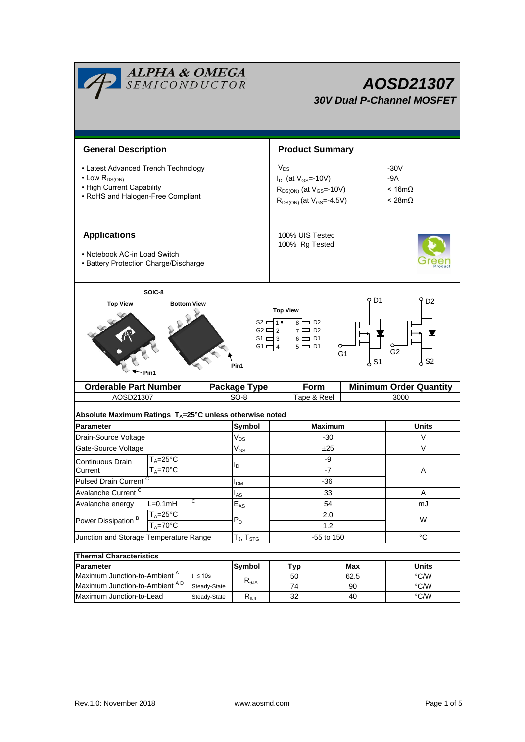| <b>ALPHA &amp; OMEGA</b><br>SEMICONDUCTOR                                                                                                                                                                                                                                                                                                         |                | <b>AOSD21307</b><br><b>30V Dual P-Channel MOSFET</b>                                                           |                        |                                                   |      |                               |               |  |  |  |
|---------------------------------------------------------------------------------------------------------------------------------------------------------------------------------------------------------------------------------------------------------------------------------------------------------------------------------------------------|----------------|----------------------------------------------------------------------------------------------------------------|------------------------|---------------------------------------------------|------|-------------------------------|---------------|--|--|--|
| <b>General Description</b>                                                                                                                                                                                                                                                                                                                        |                |                                                                                                                | <b>Product Summary</b> |                                                   |      |                               |               |  |  |  |
| • Latest Advanced Trench Technology<br>$\cdot$ Low $R_{DS(ON)}$<br>• High Current Capability<br>• RoHS and Halogen-Free Compliant                                                                                                                                                                                                                 |                | $V_{DS}$<br>$I_D$ (at $V_{GS}$ =-10V)<br>$R_{DS(ON)}$ (at $V_{GS}$ =-10V)<br>$R_{DS(ON)}$ (at $V_{GS}$ =-4.5V) |                        | $-30V$<br>$-9A$<br>$< 16m\Omega$<br>$< 28m\Omega$ |      |                               |               |  |  |  |
| <b>Applications</b><br>• Notebook AC-in Load Switch<br>• Battery Protection Charge/Discharge                                                                                                                                                                                                                                                      |                | 100% UIS Tested<br>100% Rg Tested                                                                              |                        |                                                   |      |                               |               |  |  |  |
| SOIC-8<br>9 D1<br>D <sub>2</sub><br><b>Top View</b><br><b>Bottom View</b><br><b>Top View</b><br>$S2 = 1$<br>$8 \Box$ D <sub>2</sub><br>$G2 \sqsubseteq 2$<br>$7 \Box$ D <sub>2</sub><br>$S1 \square 3$<br>$6 \Box D1$<br>$5 \Box$ D1<br>G1 $\equiv$ 4<br>G <sub>2</sub><br>G <sub>1</sub><br>$\frac{1}{6}$ S2<br>$\frac{1}{2}$ S1<br>Pin1<br>Pin1 |                |                                                                                                                |                        |                                                   |      |                               |               |  |  |  |
| <b>Orderable Part Number</b>                                                                                                                                                                                                                                                                                                                      |                | <b>Package Type</b>                                                                                            | Form                   |                                                   |      | <b>Minimum Order Quantity</b> |               |  |  |  |
| AOSD21307                                                                                                                                                                                                                                                                                                                                         |                |                                                                                                                | $SO-8$                 | Tape & Reel                                       |      |                               | 3000          |  |  |  |
| Absolute Maximum Ratings $T_A = 25^\circ \text{C}$ unless otherwise noted                                                                                                                                                                                                                                                                         |                |                                                                                                                |                        |                                                   |      |                               |               |  |  |  |
| Parameter                                                                                                                                                                                                                                                                                                                                         |                |                                                                                                                | Symbol                 | <b>Maximum</b>                                    |      |                               | <b>Units</b>  |  |  |  |
| Drain-Source Voltage                                                                                                                                                                                                                                                                                                                              |                |                                                                                                                | $V_{DS}$               | -30                                               |      |                               | V             |  |  |  |
| Gate-Source Voltage                                                                                                                                                                                                                                                                                                                               |                |                                                                                                                | $\rm V_{GS}$           | ±25                                               |      |                               | V             |  |  |  |
| $T_A = 25$ °C<br>Continuous Drain                                                                                                                                                                                                                                                                                                                 |                |                                                                                                                |                        | -9                                                |      |                               |               |  |  |  |
| $T_A = 70^\circ C$<br>Current                                                                                                                                                                                                                                                                                                                     |                | I <sub>D</sub>                                                                                                 | $-7$                   |                                                   |      | Α                             |               |  |  |  |
| Pulsed Drain Current <sup>C</sup>                                                                                                                                                                                                                                                                                                                 |                |                                                                                                                | $I_{DM}$               | $-36$                                             |      |                               |               |  |  |  |
| Avalanche Current <sup>C</sup>                                                                                                                                                                                                                                                                                                                    |                |                                                                                                                | $I_{AS}$               | 33                                                |      |                               | A             |  |  |  |
| Avalanche energy                                                                                                                                                                                                                                                                                                                                  | С<br>$L=0.1mH$ |                                                                                                                |                        | 54                                                |      |                               | mJ            |  |  |  |
| Power Dissipation <sup>B</sup>                                                                                                                                                                                                                                                                                                                    | $T_A = 25$ °C  |                                                                                                                | $P_D$                  | 2.0                                               |      |                               | W             |  |  |  |
|                                                                                                                                                                                                                                                                                                                                                   | $T_A = 70$ °C  |                                                                                                                |                        | 1.2                                               |      |                               |               |  |  |  |
| Junction and Storage Temperature Range                                                                                                                                                                                                                                                                                                            |                |                                                                                                                | $T_J$ , $T_{STG}$      | -55 to 150                                        |      |                               | °C            |  |  |  |
| <b>Thermal Characteristics</b>                                                                                                                                                                                                                                                                                                                    |                |                                                                                                                |                        |                                                   |      |                               |               |  |  |  |
| Parameter                                                                                                                                                                                                                                                                                                                                         |                |                                                                                                                | Symbol                 | Typ                                               |      | Max                           | <b>Units</b>  |  |  |  |
| Maximum Junction-to-Ambient <sup>A</sup><br>$t \leq 10s$                                                                                                                                                                                                                                                                                          |                |                                                                                                                | $R_{\theta$ JA         | 50                                                | 62.5 |                               | $\degree$ C/W |  |  |  |
| Maximum Junction-to-Ambient AD<br>Steady-State                                                                                                                                                                                                                                                                                                    |                | 74                                                                                                             |                        | 90                                                |      | $\degree$ C/W                 |               |  |  |  |
| Maximum Junction-to-Lead<br>Steady-State                                                                                                                                                                                                                                                                                                          |                |                                                                                                                | $R_{\theta JL}$        | 32                                                |      | 40                            | $\degree$ C/W |  |  |  |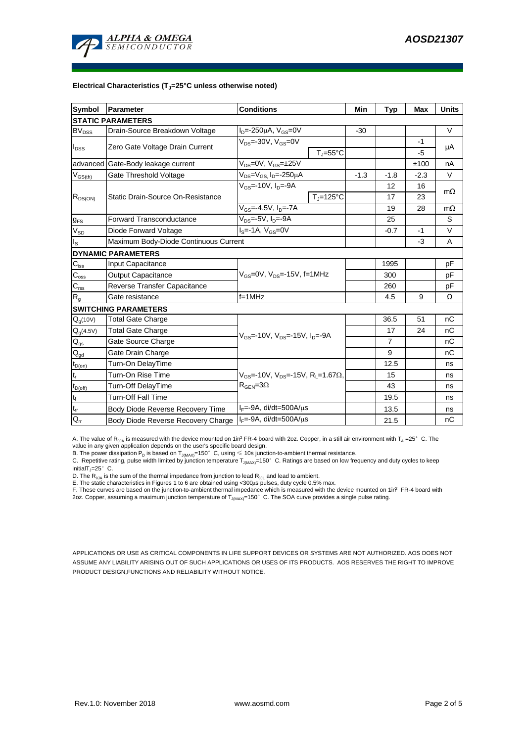

### **Electrical Characteristics (TJ=25°C unless otherwise noted)**

| <b>Symbol</b>                          | <b>Conditions</b><br>Parameter                                  |                                                                 |                               | Min    | <b>Typ</b>     | <b>Max</b> | <b>Units</b> |  |  |  |  |  |
|----------------------------------------|-----------------------------------------------------------------|-----------------------------------------------------------------|-------------------------------|--------|----------------|------------|--------------|--|--|--|--|--|
| <b>STATIC PARAMETERS</b>               |                                                                 |                                                                 |                               |        |                |            |              |  |  |  |  |  |
| <b>BV<sub>DSS</sub></b>                | Drain-Source Breakdown Voltage                                  | $I_D = -250 \mu A$ , $V_{GS} = 0V$                              |                               | $-30$  |                |            | V            |  |  |  |  |  |
| $I_{DSS}$                              | Zero Gate Voltage Drain Current                                 | $V_{DS} = -30V$ , $V_{GS} = 0V$                                 |                               |        |                | -1         | μA           |  |  |  |  |  |
|                                        |                                                                 |                                                                 | $T_{\parallel} = 55^{\circ}C$ |        |                | $-5$       |              |  |  |  |  |  |
| advanced                               | Gate-Body leakage current                                       | $V_{DS} = 0V$ , $V_{GS} = \pm 25V$                              |                               |        |                | ±100       | nA           |  |  |  |  |  |
| $V_{GS(th)}$                           | Gate Threshold Voltage                                          | V <sub>DS</sub> =V <sub>GS.</sub> I <sub>D</sub> =-250µA        |                               | $-1.3$ | $-1.8$         | $-2.3$     | V            |  |  |  |  |  |
| $R_{DS(ON)}$                           |                                                                 | $V_{GS}$ =-10V, $I_{D}$ =-9A                                    |                               |        | 12             | 16         | $m\Omega$    |  |  |  |  |  |
|                                        | Static Drain-Source On-Resistance                               |                                                                 | $T_{\rm J}$ =125°C            |        | 17             | 23         |              |  |  |  |  |  |
|                                        |                                                                 | $V_{GS}$ =-4.5V, $I_{D}$ =-7A                                   |                               |        | 19             | 28         | $m\Omega$    |  |  |  |  |  |
| $g_{FS}$                               | $V_{DS} = -5V$ , $I_D = -9A$<br><b>Forward Transconductance</b> |                                                                 |                               |        | 25             |            | S            |  |  |  |  |  |
| $V_{SD}$                               | Diode Forward Voltage                                           | $I_S = -1A$ , $V_{GS} = 0V$                                     |                               |        |                | $-1$       | V            |  |  |  |  |  |
| $I_{\rm S}$                            | Maximum Body-Diode Continuous Current                           |                                                                 |                               |        | $-3$           | A          |              |  |  |  |  |  |
|                                        | <b>DYNAMIC PARAMETERS</b>                                       |                                                                 |                               |        |                |            |              |  |  |  |  |  |
| $C_{\text{iss}}$                       | <b>Input Capacitance</b>                                        |                                                                 |                               |        | 1995           |            | рF           |  |  |  |  |  |
| $C_{\underline{oss}}$                  | <b>Output Capacitance</b>                                       | V <sub>GS</sub> =0V, V <sub>DS</sub> =-15V, f=1MHz              |                               |        |                |            | рF           |  |  |  |  |  |
| $C_{\text{rss}}$                       | Reverse Transfer Capacitance                                    |                                                                 |                               | 260    |                | рF         |              |  |  |  |  |  |
| $R_{g}$                                | $f = 1$ MHz<br>Gate resistance                                  |                                                                 |                               |        | 4.5            | 9          | Ω            |  |  |  |  |  |
|                                        | <b>SWITCHING PARAMETERS</b>                                     |                                                                 |                               |        |                |            |              |  |  |  |  |  |
| Q <sub>g</sub> (10V)                   | <b>Total Gate Charge</b>                                        |                                                                 |                               |        | 36.5           | 51         | nC           |  |  |  |  |  |
| $Q_g(4.5V)$                            | <b>Total Gate Charge</b>                                        | $V_{GS}$ =-10V, $V_{DS}$ =-15V, $I_{D}$ =-9A                    |                               |        | 17             | 24         | nC           |  |  |  |  |  |
| $\mathsf{Q}_{\mathsf{gs}}$             | Gate Source Charge                                              |                                                                 |                               |        | $\overline{7}$ |            | nC           |  |  |  |  |  |
| $\mathsf{Q}_{\underline{\mathsf{gd}}}$ | Gate Drain Charge                                               |                                                                 |                               |        | 9              |            | nС           |  |  |  |  |  |
| $t_{D(on)}$                            | Turn-On DelayTime                                               |                                                                 |                               |        | 12.5           |            | ns           |  |  |  |  |  |
| $t_r$                                  | Turn-On Rise Time                                               | $V_{GS}$ =-10V, $V_{DS}$ =-15V, R <sub>1</sub> =1.67 $\Omega$ , |                               |        | 15             |            | ns           |  |  |  |  |  |
| $t_{D(off)}$                           | Turn-Off DelayTime                                              | $R_{\text{GEN}} = 3\Omega$                                      |                               | 43     |                | ns         |              |  |  |  |  |  |
| $t_f$                                  | <b>Turn-Off Fall Time</b>                                       |                                                                 |                               |        | 19.5           |            | ns           |  |  |  |  |  |
| $\mathfrak{t}_{\text{rr}}$             | Body Diode Reverse Recovery Time                                | $I_F = -9A$ , di/dt=500A/ $\mu$ s                               |                               |        | 13.5           |            | ns           |  |  |  |  |  |
| $Q_{rr}$                               | Body Diode Reverse Recovery Charge                              | $I_F = -9A$ , di/dt=500A/ $\mu$ s                               |                               |        | 21.5           |            | nC           |  |  |  |  |  |

A. The value of  $R_{\theta JA}$  is measured with the device mounted on 1in<sup>2</sup> FR-4 board with 2oz. Copper, in a still air environment with T<sub>A</sub> =25° C. The value in any given application depends on the user's specific board design.

B. The power dissipation  ${\sf P}_{\sf D}$  is based on  ${\sf T}_{\sf J(MAX)}$ =150 $^\circ\,$  C, using  $\leqslant$  10s junction-to-ambient thermal resistance.

C. Repetitive rating, pulse width limited by junction temperature T $_{\rm J(MAX)}$ =150°C. Ratings are based on low frequency and duty cycles to keep

initialT $j=25^\circ$  C.

D. The R<sub>eJA</sub> is the sum of the thermal impedance from junction to lead R<sub>eJL</sub> and lead to ambient.<br>E. The static characteristics in Figures 1 to 6 are obtained using <300µs pulses, duty cycle 0.5% max.<br>F. These curves are

APPLICATIONS OR USE AS CRITICAL COMPONENTS IN LIFE SUPPORT DEVICES OR SYSTEMS ARE NOT AUTHORIZED. AOS DOES NOT ASSUME ANY LIABILITY ARISING OUT OF SUCH APPLICATIONS OR USES OF ITS PRODUCTS. AOS RESERVES THE RIGHT TO IMPROVE PRODUCT DESIGN,FUNCTIONS AND RELIABILITY WITHOUT NOTICE.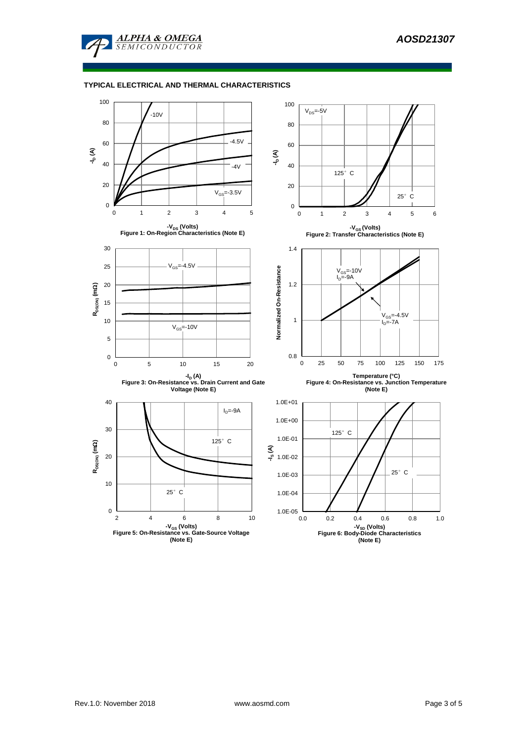

# **TYPICAL ELECTRICAL AND THERMAL CHARACTERISTICS**

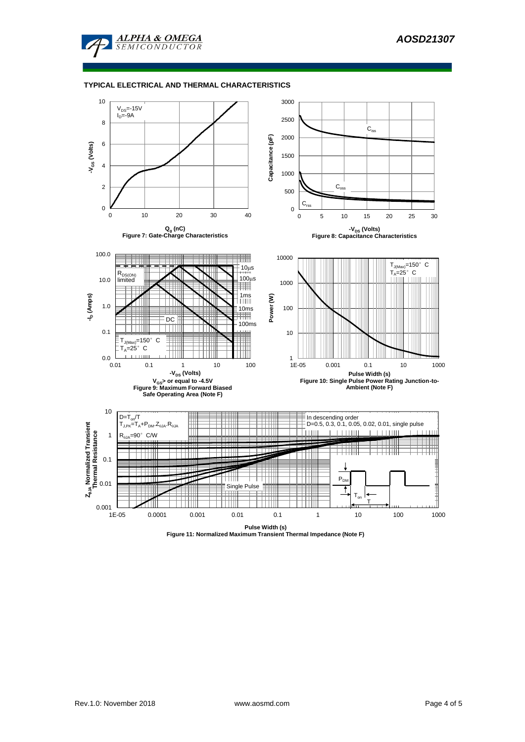

### **TYPICAL ELECTRICAL AND THERMAL CHARACTERISTICS**